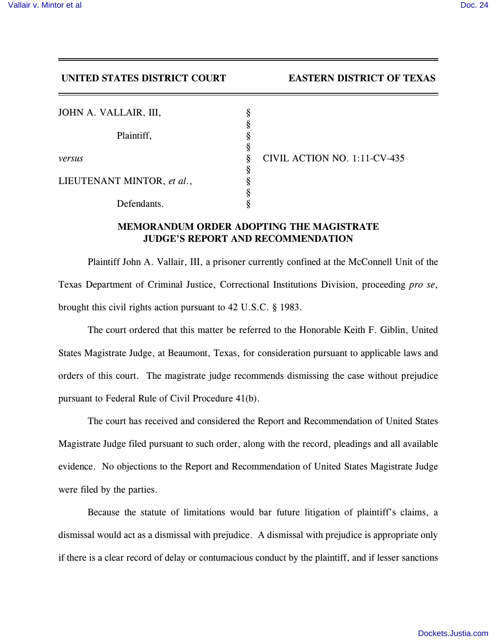## **UNITED STATES DISTRICT COURT EASTERN DISTRICT OF TEXAS**

| JOHN A. VALLAIR, III,      |        |  |
|----------------------------|--------|--|
| Plaintiff,                 | ş<br>8 |  |
|                            | Ş<br>8 |  |
| versus                     |        |  |
| LIEUTENANT MINTOR, et al., |        |  |
| Defendants.                |        |  |

*versus* § CIVIL ACTION NO. 1:11-CV-435

## **MEMORANDUM ORDER ADOPTING THE MAGISTRATE JUDGE'S REPORT AND RECOMMENDATION**

Plaintiff John A. Vallair, III, a prisoner currently confined at the McConnell Unit of the Texas Department of Criminal Justice, Correctional Institutions Division, proceeding *pro se*, brought this civil rights action pursuant to 42 U.S.C. § 1983.

The court ordered that this matter be referred to the Honorable Keith F. Giblin, United States Magistrate Judge, at Beaumont, Texas, for consideration pursuant to applicable laws and orders of this court. The magistrate judge recommends dismissing the case without prejudice pursuant to Federal Rule of Civil Procedure 41(b).

The court has received and considered the Report and Recommendation of United States Magistrate Judge filed pursuant to such order, along with the record, pleadings and all available evidence. No objections to the Report and Recommendation of United States Magistrate Judge were filed by the parties.

Because the statute of limitations would bar future litigation of plaintiff's claims, a dismissal would act as a dismissal with prejudice. A dismissal with prejudice is appropriate only if there is a clear record of delay or contumacious conduct by the plaintiff, and if lesser sanctions